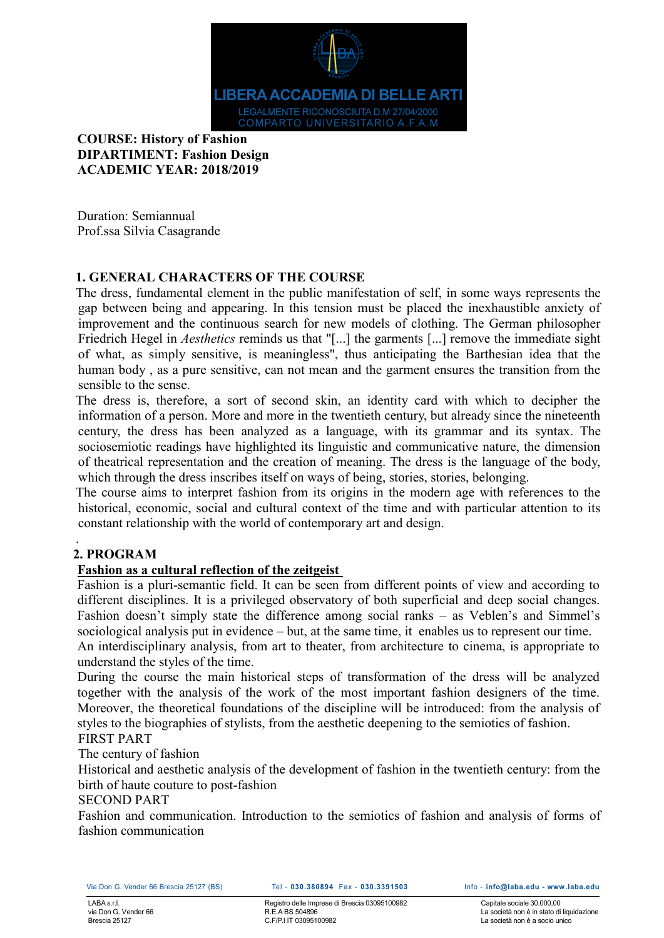

# **COURSE: History of Fashion DIPARTIMENT: Fashion Design ACADEMIC YEAR: 2018/2019**

Duration: Semiannual Prof.ssa Silvia Casagrande

# **1. GENERAL CHARACTERS OF THE COURSE**

The dress, fundamental element in the public manifestation of self, in some ways represents the gap between being and appearing. In this tension must be placed the inexhaustible anxiety of improvement and the continuous search for new models of clothing. The German philosopher Friedrich Hegel in *Aesthetics* reminds us that "[...] the garments [...] remove the immediate sight of what, as simply sensitive, is meaningless", thus anticipating the Barthesian idea that the human body , as a pure sensitive, can not mean and the garment ensures the transition from the sensible to the sense.

The dress is, therefore, a sort of second skin, an identity card with which to decipher the information of a person. More and more in the twentieth century, but already since the nineteenth century, the dress has been analyzed as a language, with its grammar and its syntax. The sociosemiotic readings have highlighted its linguistic and communicative nature, the dimension of theatrical representation and the creation of meaning. The dress is the language of the body, which through the dress inscribes itself on ways of being, stories, stories, belonging.

The course aims to interpret fashion from its origins in the modern age with references to the historical, economic, social and cultural context of the time and with particular attention to its constant relationship with the world of contemporary art and design.

# **2. PROGRAM**

.

# **Fashion as a cultural reflection of the zeitgeist**

Fashion is a pluri-semantic field. It can be seen from different points of view and according to different disciplines. It is a privileged observatory of both superficial and deep social changes. Fashion doesn't simply state the difference among social ranks – as Veblen's and Simmel's sociological analysis put in evidence – but, at the same time, it enables us to represent our time. An interdisciplinary analysis, from art to theater, from architecture to cinema, is appropriate to

understand the styles of the time. During the course the main historical steps of transformation of the dress will be analyzed together with the analysis of the work of the most important fashion designers of the time. Moreover, the theoretical foundations of the discipline will be introduced: from the analysis of styles to the biographies of stylists, from the aesthetic deepening to the semiotics of fashion. FIRST PART

# The century of fashion

Historical and aesthetic analysis of the development of fashion in the twentieth century: from the birth of haute couture to post-fashion

# SECOND PART

Fashion and communication. Introduction to the semiotics of fashion and analysis of forms of fashion communication

Registro delle Imprese di Brescia 03095100982 R.E.A BS 504896 C.F/P.I IT 03095100982